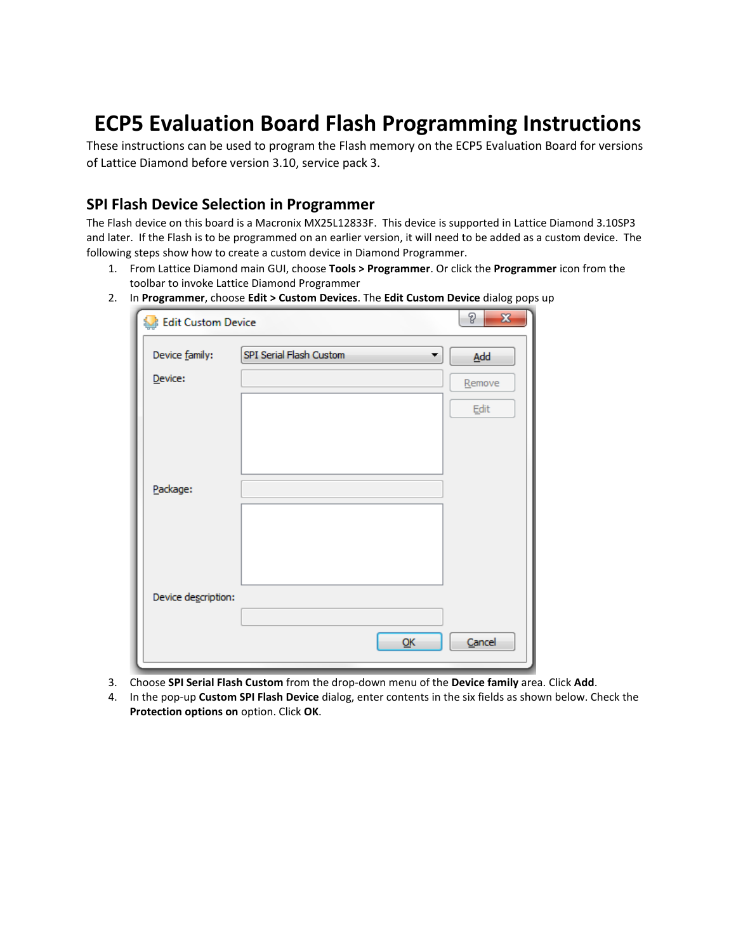## **ECP5 Evaluation Board Flash Programming Instructions**

These instructions can be used to program the Flash memory on the ECP5 Evaluation Board for versions of Lattice Diamond before version 3.10, service pack 3.

## **SPI Flash Device Selection in Programmer**

The Flash device on this board is a Macronix MX25L12833F. This device is supported in Lattice Diamond 3.10SP3 and later. If the Flash is to be programmed on an earlier version, it will need to be added as a custom device. The following steps show how to create a custom device in Diamond Programmer.

- 1. From Lattice Diamond main GUI, choose **Tools > Programmer**. Or click the **Programmer** icon from the toolbar to invoke Lattice Diamond Programmer
- 2. In **Programmer**, choose **Edit > Custom Devices**. The **Edit Custom Device** dialog pops up

| <b>Edit Custom Device</b> |                              | P<br>$\mathbf{x}$ |
|---------------------------|------------------------------|-------------------|
| Device family:            | SPI Serial Flash Custom<br>▼ | Add               |
| Device:                   |                              | Remove            |
|                           |                              | Edit              |
|                           |                              |                   |
|                           |                              |                   |
| Package:                  |                              |                   |
|                           |                              |                   |
|                           |                              |                   |
|                           |                              |                   |
| Device description:       |                              |                   |
|                           | <u>Ο</u> Κ                   | Cancel            |

- 3. Choose **SPI Serial Flash Custom** from the drop-down menu of the **Device family** area. Click **Add**.
- 4. In the pop-up **Custom SPI Flash Device** dialog, enter contents in the six fields as shown below. Check the **Protection options on** option. Click **OK**.